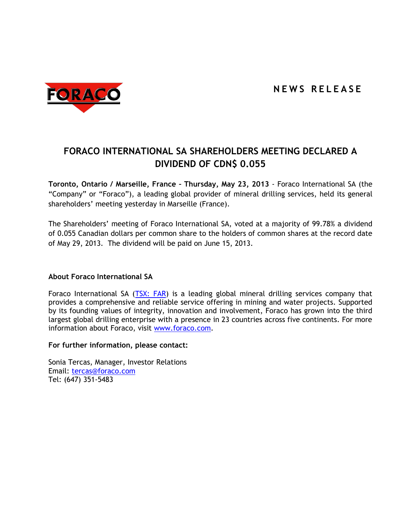

## **FORACO INTERNATIONAL SA SHAREHOLDERS MEETING DECLARED A DIVIDEND OF CDN\$ 0.055**

**Toronto, Ontario / Marseille, France – Thursday, May 23, 2013** - Foraco International SA (the "Company" or "Foraco"), a leading global provider of mineral drilling services, held its general shareholders' meeting yesterday in Marseille (France).

The Shareholders' meeting of Foraco International SA, voted at a majority of 99.78% a dividend of 0.055 Canadian dollars per common share to the holders of common shares at the record date of May 29, 2013. The dividend will be paid on June 15, 2013.

## **About Foraco International SA**

Foraco International SA [\(TSX: FAR\)](http://tmx.quotemedia.com/quote.php?qm_symbol=FAR) is a leading global mineral drilling services company that provides a comprehensive and reliable service offering in mining and water projects. Supported by its founding values of integrity, innovation and involvement, Foraco has grown into the third largest global drilling enterprise with a presence in 23 countries across five continents. For more information about Foraco, visit [www.foraco.com.](http://www.foraco.com/)

## **For further information, please contact:**

Sonia Tercas, Manager, Investor Relations Email: [tercas@foraco.com](mailto:tercas@foraco.com) Tel: (647) 351-5483